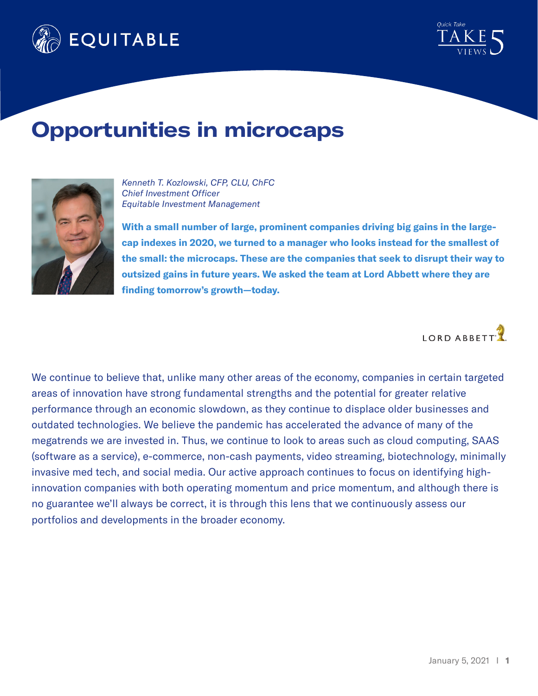



## **Opportunities in microcaps**



*Kenneth T. Kozlowski, CFP, CLU, ChFC Chief Investment Officer Equitable Investment Management*

**With a small number of large, prominent companies driving big gains in the largecap indexes in 2020, we turned to a manager who looks instead for the smallest of the small: the microcaps. These are the companies that seek to disrupt their way to outsized gains in future years. We asked the team at Lord Abbett where they are finding tomorrow's growth—today.**

LORD ABBETT

We continue to believe that, unlike many other areas of the economy, companies in certain targeted areas of innovation have strong fundamental strengths and the potential for greater relative performance through an economic slowdown, as they continue to displace older businesses and outdated technologies. We believe the pandemic has accelerated the advance of many of the megatrends we are invested in. Thus, we continue to look to areas such as cloud computing, SAAS (software as a service), e-commerce, non-cash payments, video streaming, biotechnology, minimally invasive med tech, and social media. Our active approach continues to focus on identifying highinnovation companies with both operating momentum and price momentum, and although there is no guarantee we'll always be correct, it is through this lens that we continuously assess our portfolios and developments in the broader economy.